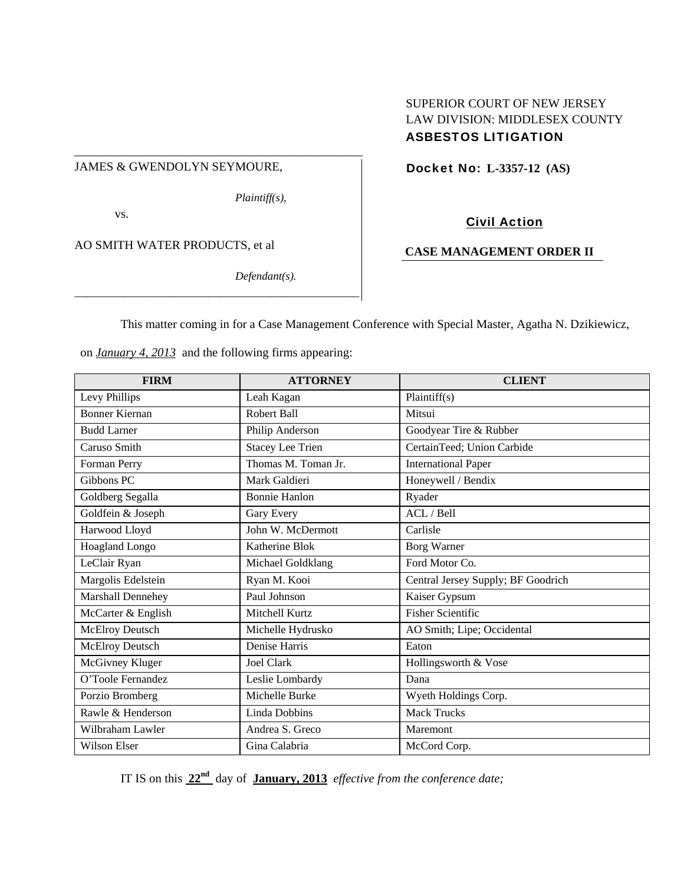## JAMES & GWENDOLYN SEYMOURE,

*Plaintiff(s),* 

\_\_\_\_\_\_\_\_\_\_\_\_\_\_\_\_\_\_\_\_\_\_\_\_\_\_\_\_\_\_\_\_\_\_\_\_\_\_\_\_\_\_\_\_\_\_\_

vs.

AO SMITH WATER PRODUCTS, et al

*Defendant(s).* 

# SUPERIOR COURT OF NEW JERSEY LAW DIVISION: MIDDLESEX COUNTY ASBESTOS LITIGATION

Docket No: **L-3357-12 (AS)** 

# Civil Action

# **CASE MANAGEMENT ORDER II**

This matter coming in for a Case Management Conference with Special Master, Agatha N. Dzikiewicz,

on *January 4, 2013* and the following firms appearing:

*\_\_\_\_\_\_\_\_\_\_\_\_\_\_\_\_\_\_\_\_\_\_\_\_\_\_\_\_\_\_\_\_\_\_\_\_\_\_\_\_\_\_\_\_\_\_\_\_\_\_\_*

| <b>FIRM</b>            | <b>ATTORNEY</b>         | <b>CLIENT</b>                      |  |
|------------------------|-------------------------|------------------------------------|--|
| Levy Phillips          | Leah Kagan              | Plaintiff(s)                       |  |
| <b>Bonner Kiernan</b>  | Robert Ball             | Mitsui                             |  |
| <b>Budd Larner</b>     | Philip Anderson         | Goodyear Tire & Rubber             |  |
| Caruso Smith           | <b>Stacey Lee Trien</b> | CertainTeed; Union Carbide         |  |
| Forman Perry           | Thomas M. Toman Jr.     | <b>International Paper</b>         |  |
| Gibbons PC             | Mark Galdieri           | Honeywell / Bendix                 |  |
| Goldberg Segalla       | <b>Bonnie Hanlon</b>    | Ryader                             |  |
| Goldfein & Joseph      | Gary Every              | ACL / Bell                         |  |
| Harwood Lloyd          | John W. McDermott       | Carlisle                           |  |
| <b>Hoagland Longo</b>  | Katherine Blok          | <b>Borg Warner</b>                 |  |
| LeClair Ryan           | Michael Goldklang       | Ford Motor Co.                     |  |
| Margolis Edelstein     | Ryan M. Kooi            | Central Jersey Supply; BF Goodrich |  |
| Marshall Dennehey      | Paul Johnson            | Kaiser Gypsum                      |  |
| McCarter & English     | Mitchell Kurtz          | <b>Fisher Scientific</b>           |  |
| <b>McElroy Deutsch</b> | Michelle Hydrusko       | AO Smith; Lipe; Occidental         |  |
| <b>McElroy Deutsch</b> | Denise Harris           | Eaton                              |  |
| McGivney Kluger        | Joel Clark              | Hollingsworth & Vose               |  |
| O'Toole Fernandez      | Leslie Lombardy         | Dana                               |  |
| Porzio Bromberg        | Michelle Burke          | Wyeth Holdings Corp.               |  |
| Rawle & Henderson      | Linda Dobbins           | <b>Mack Trucks</b>                 |  |
| Wilbraham Lawler       | Andrea S. Greco         | Maremont                           |  |
| Wilson Elser           | Gina Calabria           | McCord Corp.                       |  |

IT IS on this **22nd** day of **January, 2013** *effective from the conference date;*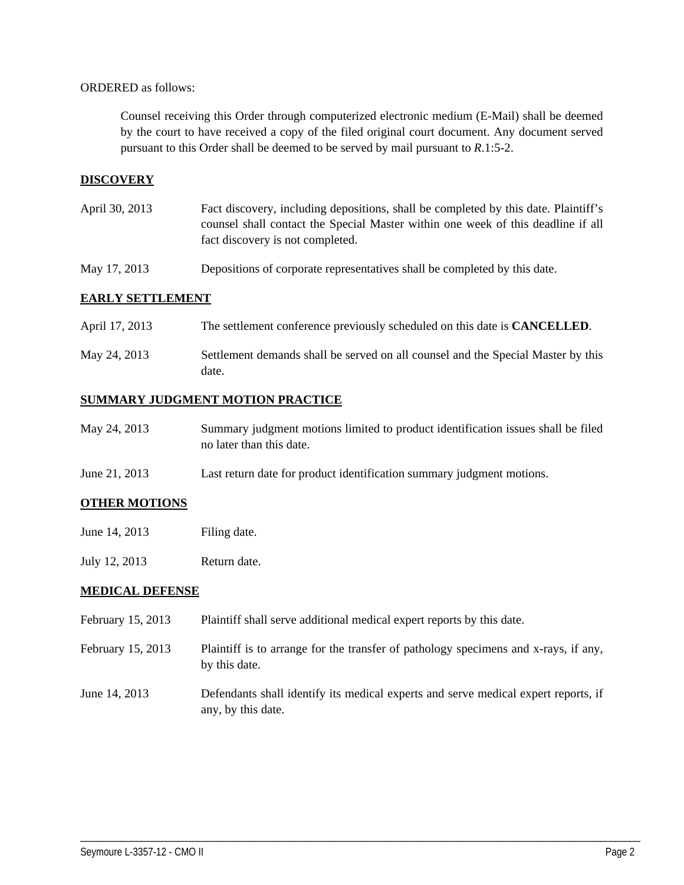#### ORDERED as follows:

Counsel receiving this Order through computerized electronic medium (E-Mail) shall be deemed by the court to have received a copy of the filed original court document. Any document served pursuant to this Order shall be deemed to be served by mail pursuant to *R*.1:5-2.

## **DISCOVERY**

- April 30, 2013 Fact discovery, including depositions, shall be completed by this date. Plaintiff's counsel shall contact the Special Master within one week of this deadline if all fact discovery is not completed.
- May 17, 2013 Depositions of corporate representatives shall be completed by this date.

### **EARLY SETTLEMENT**

| April 17, 2013 |  |  | The settlement conference previously scheduled on this date is <b>CANCELLED</b> . |
|----------------|--|--|-----------------------------------------------------------------------------------|
|----------------|--|--|-----------------------------------------------------------------------------------|

May 24, 2013 Settlement demands shall be served on all counsel and the Special Master by this date.

# **SUMMARY JUDGMENT MOTION PRACTICE**

| May 24, 2013 | Summary judgment motions limited to product identification issues shall be filed |
|--------------|----------------------------------------------------------------------------------|
|              | no later than this date.                                                         |

June 21, 2013 Last return date for product identification summary judgment motions.

### **OTHER MOTIONS**

- June 14, 2013 Filing date.
- July 12, 2013 Return date.

### **MEDICAL DEFENSE**

- February 15, 2013 Plaintiff shall serve additional medical expert reports by this date.
- February 15, 2013 Plaintiff is to arrange for the transfer of pathology specimens and x-rays, if any, by this date.
- June 14, 2013 Defendants shall identify its medical experts and serve medical expert reports, if any, by this date.

\_\_\_\_\_\_\_\_\_\_\_\_\_\_\_\_\_\_\_\_\_\_\_\_\_\_\_\_\_\_\_\_\_\_\_\_\_\_\_\_\_\_\_\_\_\_\_\_\_\_\_\_\_\_\_\_\_\_\_\_\_\_\_\_\_\_\_\_\_\_\_\_\_\_\_\_\_\_\_\_\_\_\_\_\_\_\_\_\_\_\_\_\_\_\_\_\_\_\_\_\_\_\_\_\_\_\_\_\_\_